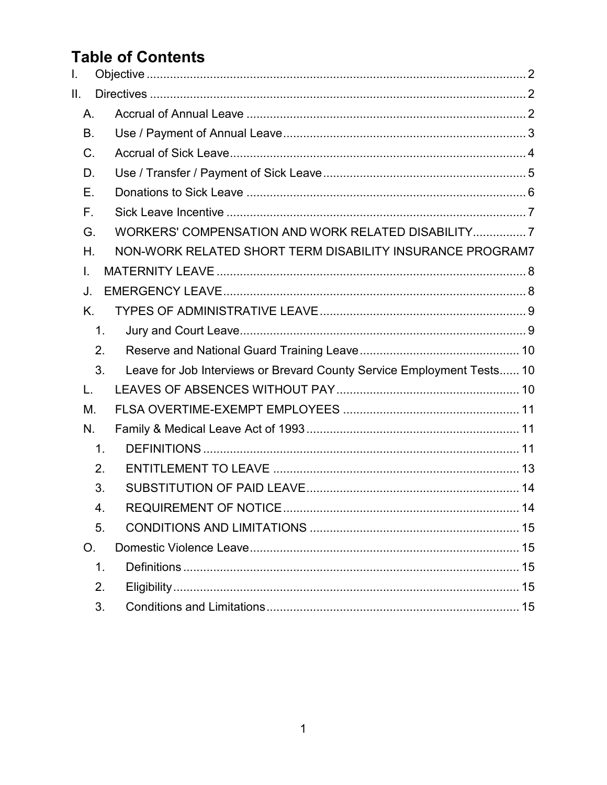# **Table of Contents**

| L.              |               |                                                                        |    |
|-----------------|---------------|------------------------------------------------------------------------|----|
| $\mathbf{II}$ . |               |                                                                        |    |
| Α.              |               |                                                                        |    |
| Β.              |               |                                                                        |    |
| C.              |               |                                                                        |    |
| D.              |               |                                                                        |    |
| Е.              |               |                                                                        |    |
| $F_{\perp}$     |               |                                                                        |    |
| G.              |               | WORKERS' COMPENSATION AND WORK RELATED DISABILITY7                     |    |
| Н.              |               | NON-WORK RELATED SHORT TERM DISABILITY INSURANCE PROGRAM7              |    |
| I.              |               |                                                                        |    |
| J.              |               |                                                                        |    |
| Κ.              |               |                                                                        |    |
|                 | $\mathbf 1$ . |                                                                        |    |
|                 | 2.            |                                                                        |    |
|                 | 3.            | Leave for Job Interviews or Brevard County Service Employment Tests 10 |    |
| L.              |               |                                                                        |    |
| М.              |               |                                                                        |    |
| N.              |               |                                                                        |    |
|                 | $\mathbf 1$ . |                                                                        |    |
|                 | 2.            |                                                                        |    |
|                 | 3.            |                                                                        |    |
|                 | 4             | <b>REQUIREMENT OF NOTICE</b>                                           | 14 |
|                 | 5.            |                                                                        |    |
| O.              |               |                                                                        |    |
|                 | $\mathbf 1$ . |                                                                        |    |
|                 | 2.            |                                                                        |    |
|                 | 3.            |                                                                        |    |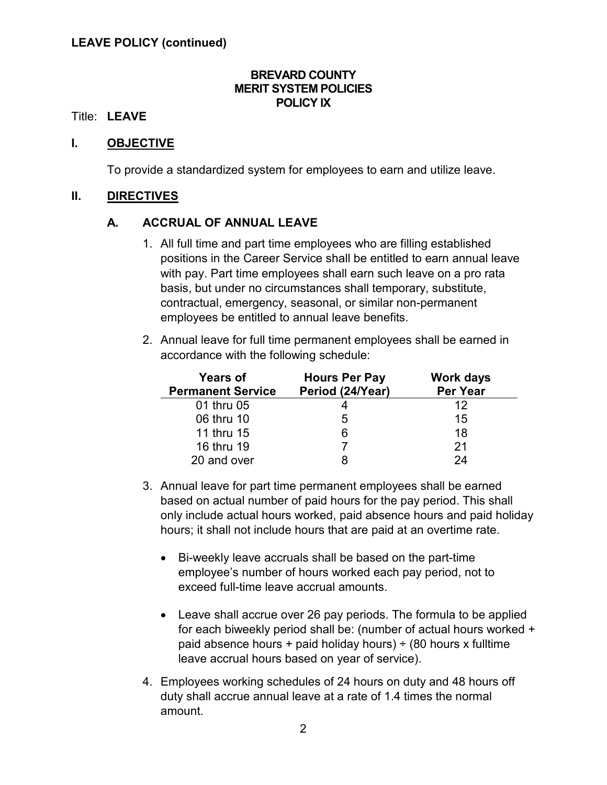#### **BREVARD COUNTY MERIT SYSTEM POLICIES POLICY IX**

#### Title: **LEAVE**

### <span id="page-1-0"></span>**I. OBJECTIVE**

To provide a standardized system for employees to earn and utilize leave.

#### <span id="page-1-2"></span><span id="page-1-1"></span>**II. DIRECTIVES**

## **A. ACCRUAL OF ANNUAL LEAVE**

- 1. All full time and part time employees who are filling established positions in the Career Service shall be entitled to earn annual leave with pay. Part time employees shall earn such leave on a pro rata basis, but under no circumstances shall temporary, substitute, contractual, emergency, seasonal, or similar non-permanent employees be entitled to annual leave benefits.
- 2. Annual leave for full time permanent employees shall be earned in accordance with the following schedule:

| <b>Years of</b><br><b>Permanent Service</b> | <b>Hours Per Pay</b><br>Period (24/Year) | <b>Work days</b><br><b>Per Year</b> |
|---------------------------------------------|------------------------------------------|-------------------------------------|
| 01 thru 05                                  |                                          | 12                                  |
| 06 thru 10                                  | 5                                        | 15                                  |
| 11 thru 15                                  | 6                                        | 18                                  |
| 16 thru 19                                  |                                          | 21                                  |
| 20 and over                                 |                                          | 24                                  |

- 3. Annual leave for part time permanent employees shall be earned based on actual number of paid hours for the pay period. This shall only include actual hours worked, paid absence hours and paid holiday hours; it shall not include hours that are paid at an overtime rate.
	- Bi-weekly leave accruals shall be based on the part-time employee's number of hours worked each pay period, not to exceed full-time leave accrual amounts.
	- Leave shall accrue over 26 pay periods. The formula to be applied for each biweekly period shall be: (number of actual hours worked + paid absence hours + paid holiday hours)  $\div$  (80 hours x fulltime leave accrual hours based on year of service).
- 4. Employees working schedules of 24 hours on duty and 48 hours off duty shall accrue annual leave at a rate of 1.4 times the normal amount.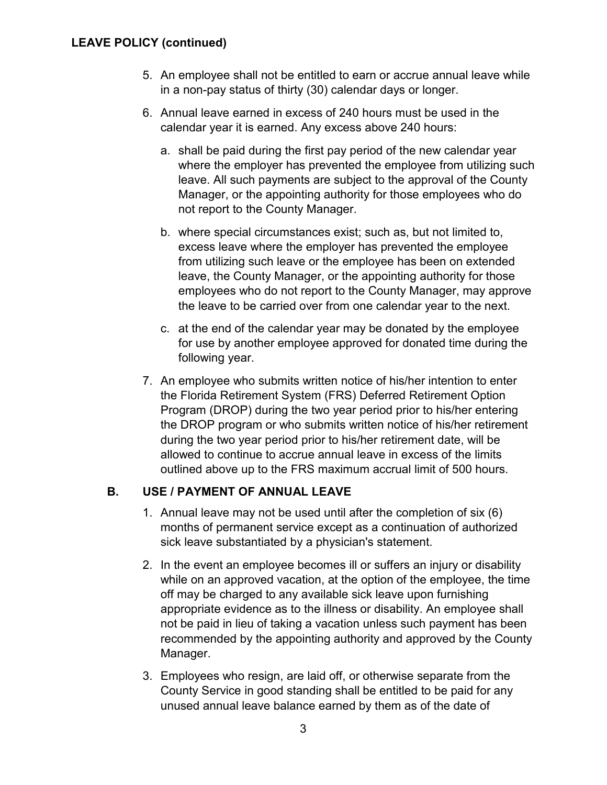- 5. An employee shall not be entitled to earn or accrue annual leave while in a non-pay status of thirty (30) calendar days or longer.
- 6. Annual leave earned in excess of 240 hours must be used in the calendar year it is earned. Any excess above 240 hours:
	- a. shall be paid during the first pay period of the new calendar year where the employer has prevented the employee from utilizing such leave. All such payments are subject to the approval of the County Manager, or the appointing authority for those employees who do not report to the County Manager.
	- b. where special circumstances exist; such as, but not limited to, excess leave where the employer has prevented the employee from utilizing such leave or the employee has been on extended leave, the County Manager, or the appointing authority for those employees who do not report to the County Manager, may approve the leave to be carried over from one calendar year to the next.
	- c. at the end of the calendar year may be donated by the employee for use by another employee approved for donated time during the following year.
- 7. An employee who submits written notice of his/her intention to enter the Florida Retirement System (FRS) Deferred Retirement Option Program (DROP) during the two year period prior to his/her entering the DROP program or who submits written notice of his/her retirement during the two year period prior to his/her retirement date, will be allowed to continue to accrue annual leave in excess of the limits outlined above up to the FRS maximum accrual limit of 500 hours.

## <span id="page-2-0"></span>**B. USE / PAYMENT OF ANNUAL LEAVE**

- 1. Annual leave may not be used until after the completion of six (6) months of permanent service except as a continuation of authorized sick leave substantiated by a physician's statement.
- 2. In the event an employee becomes ill or suffers an injury or disability while on an approved vacation, at the option of the employee, the time off may be charged to any available sick leave upon furnishing appropriate evidence as to the illness or disability. An employee shall not be paid in lieu of taking a vacation unless such payment has been recommended by the appointing authority and approved by the County Manager.
- 3. Employees who resign, are laid off, or otherwise separate from the County Service in good standing shall be entitled to be paid for any unused annual leave balance earned by them as of the date of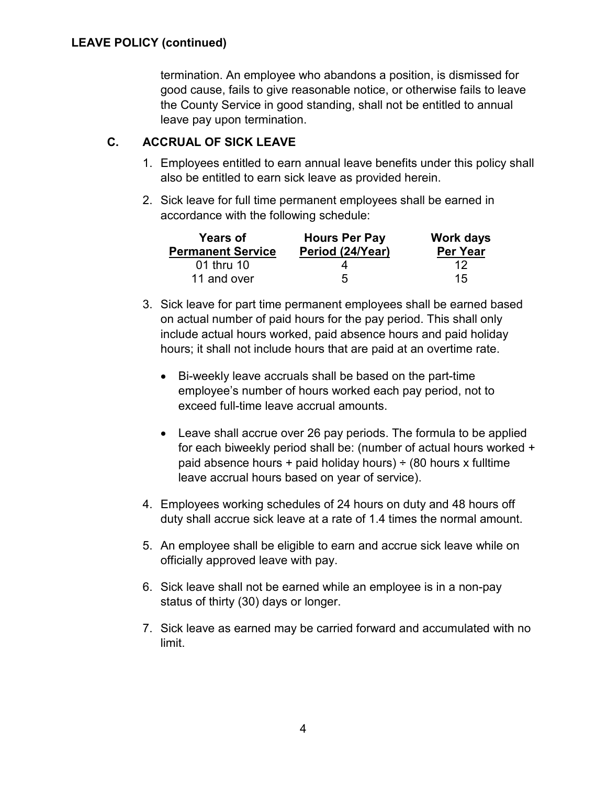termination. An employee who abandons a position, is dismissed for good cause, fails to give reasonable notice, or otherwise fails to leave the County Service in good standing, shall not be entitled to annual leave pay upon termination.

## <span id="page-3-0"></span>**C. ACCRUAL OF SICK LEAVE**

- 1. Employees entitled to earn annual leave benefits under this policy shall also be entitled to earn sick leave as provided herein.
- 2. Sick leave for full time permanent employees shall be earned in accordance with the following schedule:

| <b>Years of</b>          | <b>Hours Per Pay</b> | <b>Work days</b> |  |
|--------------------------|----------------------|------------------|--|
| <b>Permanent Service</b> | Period (24/Year)     | Per Year         |  |
| 01 thru 10               |                      | 12               |  |
| 11 and over              | 5                    | 15               |  |

- 3. Sick leave for part time permanent employees shall be earned based on actual number of paid hours for the pay period. This shall only include actual hours worked, paid absence hours and paid holiday hours; it shall not include hours that are paid at an overtime rate.
	- Bi-weekly leave accruals shall be based on the part-time employee's number of hours worked each pay period, not to exceed full-time leave accrual amounts.
	- Leave shall accrue over 26 pay periods. The formula to be applied for each biweekly period shall be: (number of actual hours worked + paid absence hours + paid holiday hours)  $\div$  (80 hours x fulltime leave accrual hours based on year of service).
- 4. Employees working schedules of 24 hours on duty and 48 hours off duty shall accrue sick leave at a rate of 1.4 times the normal amount.
- 5. An employee shall be eligible to earn and accrue sick leave while on officially approved leave with pay.
- 6. Sick leave shall not be earned while an employee is in a non-pay status of thirty (30) days or longer.
- 7. Sick leave as earned may be carried forward and accumulated with no limit.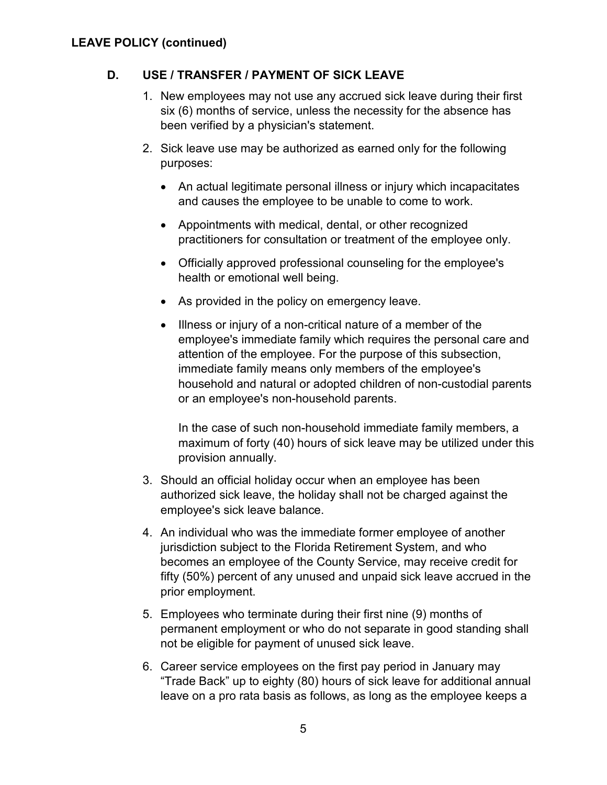# <span id="page-4-0"></span>**D. USE / TRANSFER / PAYMENT OF SICK LEAVE**

- 1. New employees may not use any accrued sick leave during their first six (6) months of service, unless the necessity for the absence has been verified by a physician's statement.
- 2. Sick leave use may be authorized as earned only for the following purposes:
	- An actual legitimate personal illness or injury which incapacitates and causes the employee to be unable to come to work.
	- Appointments with medical, dental, or other recognized practitioners for consultation or treatment of the employee only.
	- Officially approved professional counseling for the employee's health or emotional well being.
	- As provided in the policy on emergency leave.
	- Illness or injury of a non-critical nature of a member of the employee's immediate family which requires the personal care and attention of the employee. For the purpose of this subsection, immediate family means only members of the employee's household and natural or adopted children of non-custodial parents or an employee's non-household parents.

In the case of such non-household immediate family members, a maximum of forty (40) hours of sick leave may be utilized under this provision annually.

- 3. Should an official holiday occur when an employee has been authorized sick leave, the holiday shall not be charged against the employee's sick leave balance.
- 4. An individual who was the immediate former employee of another jurisdiction subject to the Florida Retirement System, and who becomes an employee of the County Service, may receive credit for fifty (50%) percent of any unused and unpaid sick leave accrued in the prior employment.
- 5. Employees who terminate during their first nine (9) months of permanent employment or who do not separate in good standing shall not be eligible for payment of unused sick leave.
- 6. Career service employees on the first pay period in January may "Trade Back" up to eighty (80) hours of sick leave for additional annual leave on a pro rata basis as follows, as long as the employee keeps a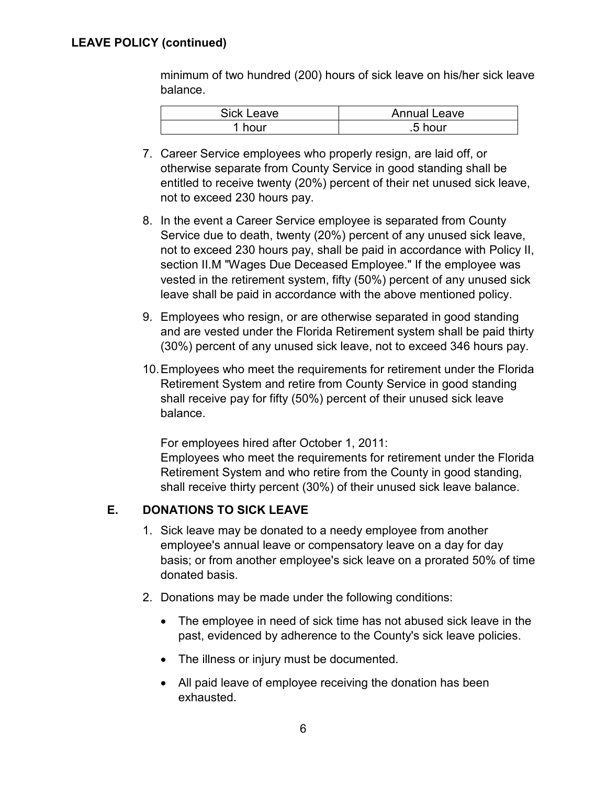## **LEAVE POLICY (continued)**

minimum of two hundred (200) hours of sick leave on his/her sick leave balance.

| <b>Sick Leave</b> | Annual Leave |
|-------------------|--------------|
| hour              | .5 hour      |

- 7. Career Service employees who properly resign, are laid off, or otherwise separate from County Service in good standing shall be entitled to receive twenty (20%) percent of their net unused sick leave, not to exceed 230 hours pay.
- 8. In the event a Career Service employee is separated from County Service due to death, twenty (20%) percent of any unused sick leave, not to exceed 230 hours pay, shall be paid in accordance with Policy II, section II.M "Wages Due Deceased Employee." If the employee was vested in the retirement system, fifty (50%) percent of any unused sick leave shall be paid in accordance with the above mentioned policy.
- 9. Employees who resign, or are otherwise separated in good standing and are vested under the Florida Retirement system shall be paid thirty (30%) percent of any unused sick leave, not to exceed 346 hours pay.
- 10.Employees who meet the requirements for retirement under the Florida Retirement System and retire from County Service in good standing shall receive pay for fifty (50%) percent of their unused sick leave balance.

For employees hired after October 1, 2011:

Employees who meet the requirements for retirement under the Florida Retirement System and who retire from the County in good standing, shall receive thirty percent (30%) of their unused sick leave balance.

#### <span id="page-5-0"></span>**E. DONATIONS TO SICK LEAVE**

- 1. Sick leave may be donated to a needy employee from another employee's annual leave or compensatory leave on a day for day basis; or from another employee's sick leave on a prorated 50% of time donated basis.
- 2. Donations may be made under the following conditions:
	- The employee in need of sick time has not abused sick leave in the past, evidenced by adherence to the County's sick leave policies.
	- The illness or injury must be documented.
	- All paid leave of employee receiving the donation has been exhausted.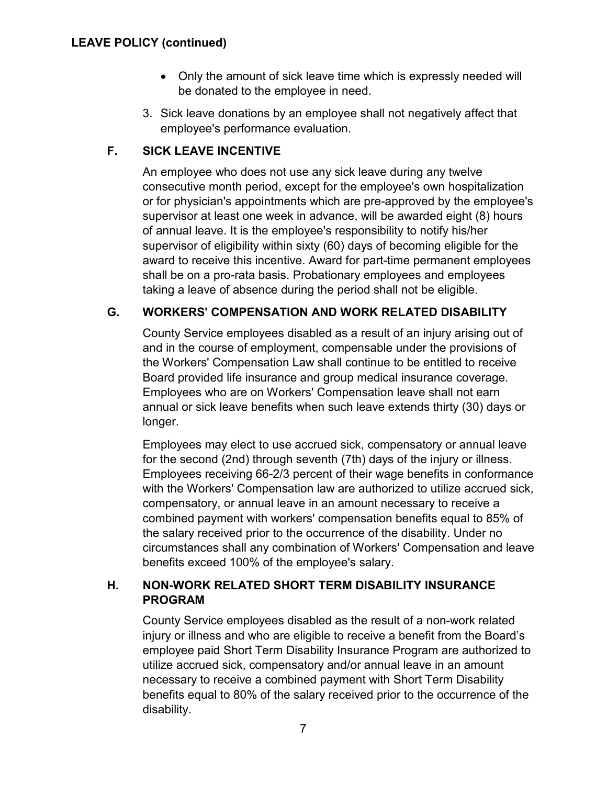- Only the amount of sick leave time which is expressly needed will be donated to the employee in need.
- 3. Sick leave donations by an employee shall not negatively affect that employee's performance evaluation.

# <span id="page-6-0"></span>**F. SICK LEAVE INCENTIVE**

An employee who does not use any sick leave during any twelve consecutive month period, except for the employee's own hospitalization or for physician's appointments which are pre-approved by the employee's supervisor at least one week in advance, will be awarded eight (8) hours of annual leave. It is the employee's responsibility to notify his/her supervisor of eligibility within sixty (60) days of becoming eligible for the award to receive this incentive. Award for part-time permanent employees shall be on a pro-rata basis. Probationary employees and employees taking a leave of absence during the period shall not be eligible.

# <span id="page-6-1"></span>**G. WORKERS' COMPENSATION AND WORK RELATED DISABILITY**

County Service employees disabled as a result of an injury arising out of and in the course of employment, compensable under the provisions of the Workers' Compensation Law shall continue to be entitled to receive Board provided life insurance and group medical insurance coverage. Employees who are on Workers' Compensation leave shall not earn annual or sick leave benefits when such leave extends thirty (30) days or longer.

Employees may elect to use accrued sick, compensatory or annual leave for the second (2nd) through seventh (7th) days of the injury or illness. Employees receiving 66-2/3 percent of their wage benefits in conformance with the Workers' Compensation law are authorized to utilize accrued sick, compensatory, or annual leave in an amount necessary to receive a combined payment with workers' compensation benefits equal to 85% of the salary received prior to the occurrence of the disability. Under no circumstances shall any combination of Workers' Compensation and leave benefits exceed 100% of the employee's salary.

# <span id="page-6-2"></span>**H. NON-WORK RELATED SHORT TERM DISABILITY INSURANCE PROGRAM**

County Service employees disabled as the result of a non-work related injury or illness and who are eligible to receive a benefit from the Board's employee paid Short Term Disability Insurance Program are authorized to utilize accrued sick, compensatory and/or annual leave in an amount necessary to receive a combined payment with Short Term Disability benefits equal to 80% of the salary received prior to the occurrence of the disability.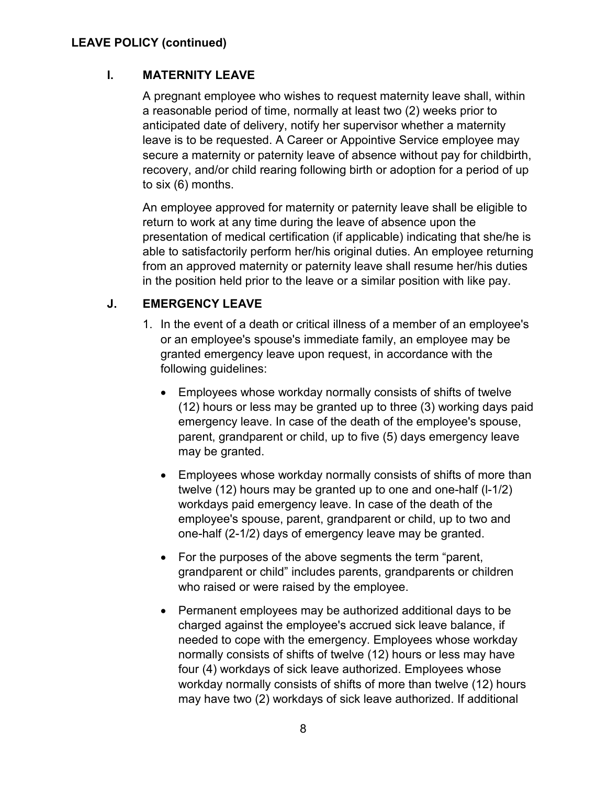## <span id="page-7-0"></span>**LEAVE POLICY (continued)**

#### **I. MATERNITY LEAVE**

A pregnant employee who wishes to request maternity leave shall, within a reasonable period of time, normally at least two (2) weeks prior to anticipated date of delivery, notify her supervisor whether a maternity leave is to be requested. A Career or Appointive Service employee may secure a maternity or paternity leave of absence without pay for childbirth, recovery, and/or child rearing following birth or adoption for a period of up to six (6) months.

An employee approved for maternity or paternity leave shall be eligible to return to work at any time during the leave of absence upon the presentation of medical certification (if applicable) indicating that she/he is able to satisfactorily perform her/his original duties. An employee returning from an approved maternity or paternity leave shall resume her/his duties in the position held prior to the leave or a similar position with like pay.

#### <span id="page-7-1"></span>**J. EMERGENCY LEAVE**

- 1. In the event of a death or critical illness of a member of an employee's or an employee's spouse's immediate family, an employee may be granted emergency leave upon request, in accordance with the following guidelines:
	- Employees whose workday normally consists of shifts of twelve (12) hours or less may be granted up to three (3) working days paid emergency leave. In case of the death of the employee's spouse, parent, grandparent or child, up to five (5) days emergency leave may be granted.
	- Employees whose workday normally consists of shifts of more than twelve (12) hours may be granted up to one and one-half (l-1/2) workdays paid emergency leave. In case of the death of the employee's spouse, parent, grandparent or child, up to two and one-half (2-1/2) days of emergency leave may be granted.
	- For the purposes of the above segments the term "parent, grandparent or child" includes parents, grandparents or children who raised or were raised by the employee.
	- Permanent employees may be authorized additional days to be charged against the employee's accrued sick leave balance, if needed to cope with the emergency. Employees whose workday normally consists of shifts of twelve (12) hours or less may have four (4) workdays of sick leave authorized. Employees whose workday normally consists of shifts of more than twelve (12) hours may have two (2) workdays of sick leave authorized. If additional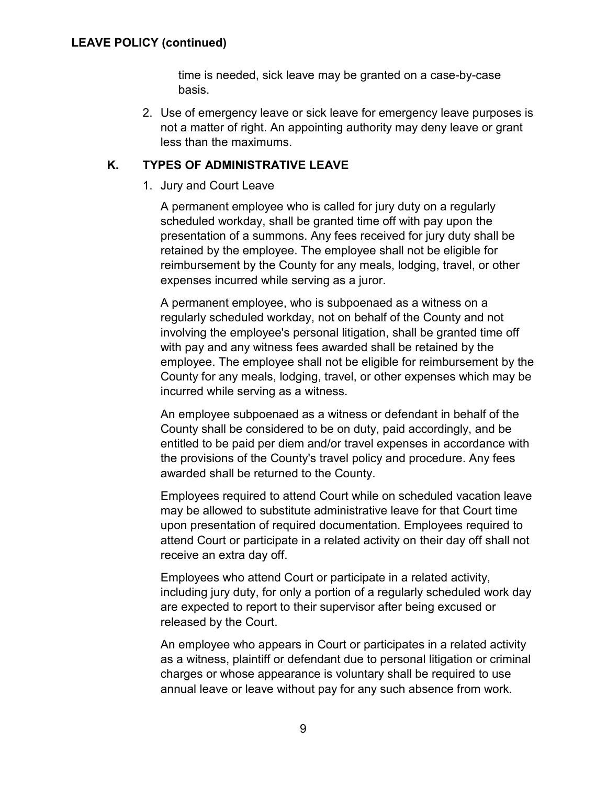time is needed, sick leave may be granted on a case-by-case basis.

2. Use of emergency leave or sick leave for emergency leave purposes is not a matter of right. An appointing authority may deny leave or grant less than the maximums.

## <span id="page-8-1"></span><span id="page-8-0"></span>**K. TYPES OF ADMINISTRATIVE LEAVE**

1. Jury and Court Leave

A permanent employee who is called for jury duty on a regularly scheduled workday, shall be granted time off with pay upon the presentation of a summons. Any fees received for jury duty shall be retained by the employee. The employee shall not be eligible for reimbursement by the County for any meals, lodging, travel, or other expenses incurred while serving as a juror.

A permanent employee, who is subpoenaed as a witness on a regularly scheduled workday, not on behalf of the County and not involving the employee's personal litigation, shall be granted time off with pay and any witness fees awarded shall be retained by the employee. The employee shall not be eligible for reimbursement by the County for any meals, lodging, travel, or other expenses which may be incurred while serving as a witness.

An employee subpoenaed as a witness or defendant in behalf of the County shall be considered to be on duty, paid accordingly, and be entitled to be paid per diem and/or travel expenses in accordance with the provisions of the County's travel policy and procedure. Any fees awarded shall be returned to the County.

Employees required to attend Court while on scheduled vacation leave may be allowed to substitute administrative leave for that Court time upon presentation of required documentation. Employees required to attend Court or participate in a related activity on their day off shall not receive an extra day off.

Employees who attend Court or participate in a related activity, including jury duty, for only a portion of a regularly scheduled work day are expected to report to their supervisor after being excused or released by the Court.

An employee who appears in Court or participates in a related activity as a witness, plaintiff or defendant due to personal litigation or criminal charges or whose appearance is voluntary shall be required to use annual leave or leave without pay for any such absence from work.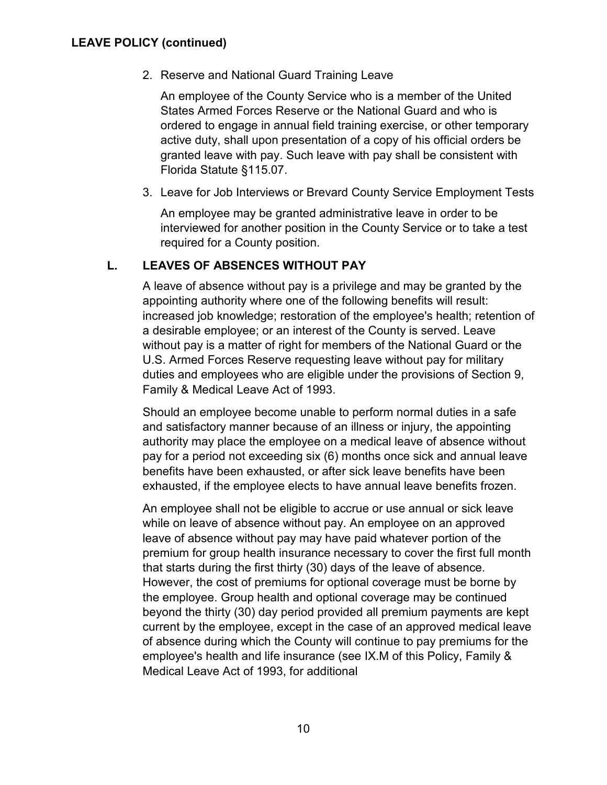<span id="page-9-0"></span>2. Reserve and National Guard Training Leave

An employee of the County Service who is a member of the United States Armed Forces Reserve or the National Guard and who is ordered to engage in annual field training exercise, or other temporary active duty, shall upon presentation of a copy of his official orders be granted leave with pay. Such leave with pay shall be consistent with Florida Statute §115.07.

<span id="page-9-1"></span>3. Leave for Job Interviews or Brevard County Service Employment Tests

An employee may be granted administrative leave in order to be interviewed for another position in the County Service or to take a test required for a County position.

# <span id="page-9-2"></span>**L. LEAVES OF ABSENCES WITHOUT PAY**

A leave of absence without pay is a privilege and may be granted by the appointing authority where one of the following benefits will result: increased job knowledge; restoration of the employee's health; retention of a desirable employee; or an interest of the County is served. Leave without pay is a matter of right for members of the National Guard or the U.S. Armed Forces Reserve requesting leave without pay for military duties and employees who are eligible under the provisions of Section 9, Family & Medical Leave Act of 1993.

Should an employee become unable to perform normal duties in a safe and satisfactory manner because of an illness or injury, the appointing authority may place the employee on a medical leave of absence without pay for a period not exceeding six (6) months once sick and annual leave benefits have been exhausted, or after sick leave benefits have been exhausted, if the employee elects to have annual leave benefits frozen.

An employee shall not be eligible to accrue or use annual or sick leave while on leave of absence without pay. An employee on an approved leave of absence without pay may have paid whatever portion of the premium for group health insurance necessary to cover the first full month that starts during the first thirty (30) days of the leave of absence. However, the cost of premiums for optional coverage must be borne by the employee. Group health and optional coverage may be continued beyond the thirty (30) day period provided all premium payments are kept current by the employee, except in the case of an approved medical leave of absence during which the County will continue to pay premiums for the employee's health and life insurance (see IX.M of this Policy, Family & Medical Leave Act of 1993, for additional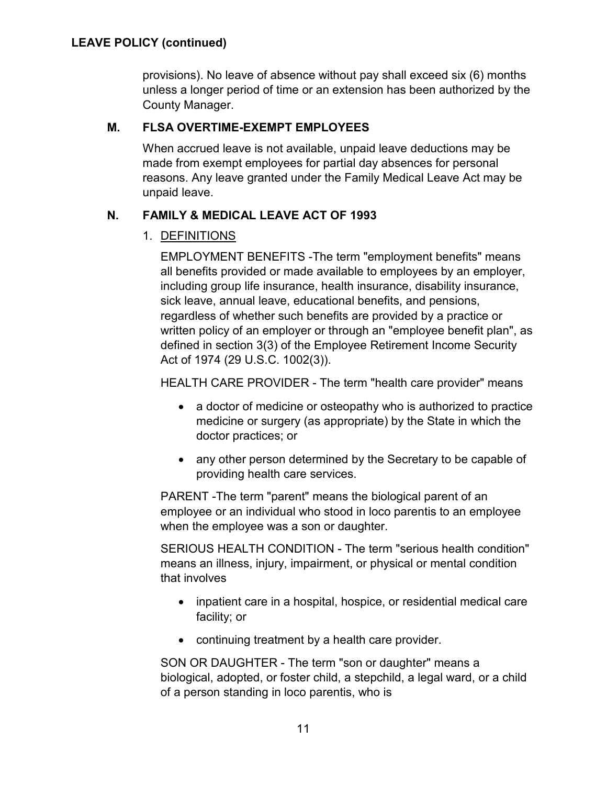provisions). No leave of absence without pay shall exceed six (6) months unless a longer period of time or an extension has been authorized by the County Manager.

## <span id="page-10-0"></span>**M. FLSA OVERTIME-EXEMPT EMPLOYEES**

When accrued leave is not available, unpaid leave deductions may be made from exempt employees for partial day absences for personal reasons. Any leave granted under the Family Medical Leave Act may be unpaid leave.

# <span id="page-10-2"></span><span id="page-10-1"></span>**N. FAMILY & MEDICAL LEAVE ACT OF 1993**

# 1. DEFINITIONS

EMPLOYMENT BENEFITS -The term "employment benefits" means all benefits provided or made available to employees by an employer, including group life insurance, health insurance, disability insurance, sick leave, annual leave, educational benefits, and pensions, regardless of whether such benefits are provided by a practice or written policy of an employer or through an "employee benefit plan", as defined in section 3(3) of the Employee Retirement Income Security Act of 1974 (29 U.S.C. 1002(3)).

HEALTH CARE PROVIDER - The term "health care provider" means

- a doctor of medicine or osteopathy who is authorized to practice medicine or surgery (as appropriate) by the State in which the doctor practices; or
- any other person determined by the Secretary to be capable of providing health care services.

PARENT -The term "parent" means the biological parent of an employee or an individual who stood in loco parentis to an employee when the employee was a son or daughter.

SERIOUS HEALTH CONDITION - The term "serious health condition" means an illness, injury, impairment, or physical or mental condition that involves

- inpatient care in a hospital, hospice, or residential medical care facility; or
- continuing treatment by a health care provider.

SON OR DAUGHTER - The term "son or daughter" means a biological, adopted, or foster child, a stepchild, a legal ward, or a child of a person standing in loco parentis, who is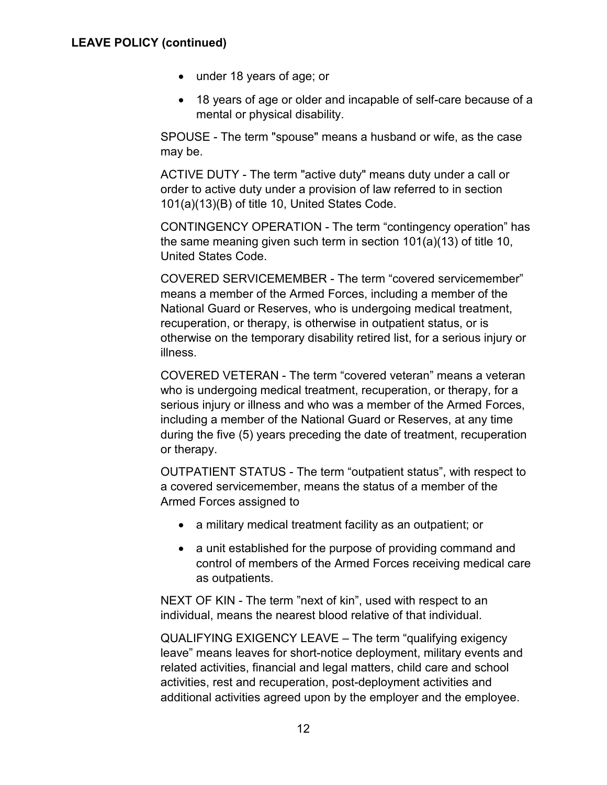- under 18 years of age; or
- 18 years of age or older and incapable of self-care because of a mental or physical disability.

SPOUSE - The term "spouse" means a husband or wife, as the case may be.

ACTIVE DUTY - The term "active duty" means duty under a call or order to active duty under a provision of law referred to in section 101(a)(13)(B) of title 10, United States Code.

CONTINGENCY OPERATION - The term "contingency operation" has the same meaning given such term in section 101(a)(13) of title 10, United States Code.

COVERED SERVICEMEMBER - The term "covered servicemember" means a member of the Armed Forces, including a member of the National Guard or Reserves, who is undergoing medical treatment, recuperation, or therapy, is otherwise in outpatient status, or is otherwise on the temporary disability retired list, for a serious injury or illness.

COVERED VETERAN - The term "covered veteran" means a veteran who is undergoing medical treatment, recuperation, or therapy, for a serious injury or illness and who was a member of the Armed Forces, including a member of the National Guard or Reserves, at any time during the five (5) years preceding the date of treatment, recuperation or therapy.

OUTPATIENT STATUS - The term "outpatient status", with respect to a covered servicemember, means the status of a member of the Armed Forces assigned to

- a military medical treatment facility as an outpatient; or
- a unit established for the purpose of providing command and control of members of the Armed Forces receiving medical care as outpatients.

NEXT OF KIN - The term "next of kin", used with respect to an individual, means the nearest blood relative of that individual.

QUALIFYING EXIGENCY LEAVE – The term "qualifying exigency leave" means leaves for short-notice deployment, military events and related activities, financial and legal matters, child care and school activities, rest and recuperation, post-deployment activities and additional activities agreed upon by the employer and the employee.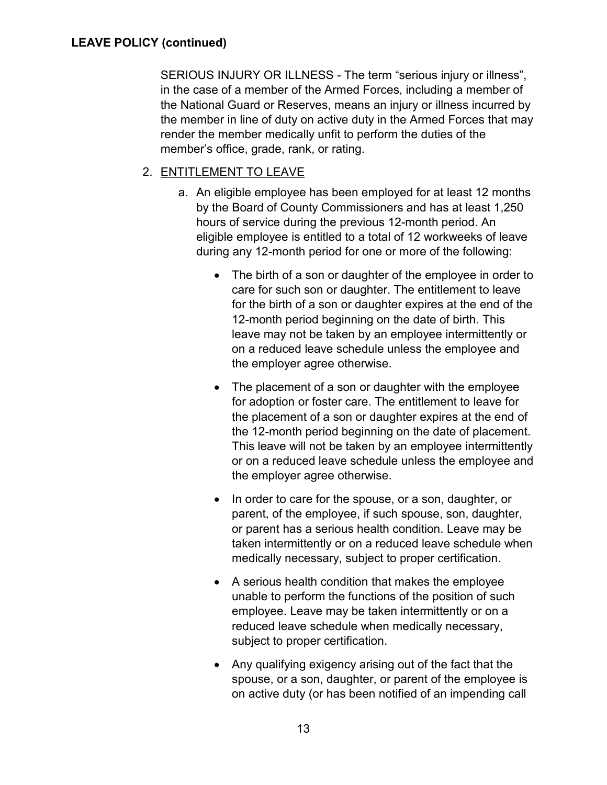SERIOUS INJURY OR ILLNESS - The term "serious injury or illness", in the case of a member of the Armed Forces, including a member of the National Guard or Reserves, means an injury or illness incurred by the member in line of duty on active duty in the Armed Forces that may render the member medically unfit to perform the duties of the member's office, grade, rank, or rating.

# <span id="page-12-0"></span>2. ENTITLEMENT TO LEAVE

- a. An eligible employee has been employed for at least 12 months by the Board of County Commissioners and has at least 1,250 hours of service during the previous 12-month period. An eligible employee is entitled to a total of 12 workweeks of leave during any 12-month period for one or more of the following:
	- The birth of a son or daughter of the employee in order to care for such son or daughter. The entitlement to leave for the birth of a son or daughter expires at the end of the 12-month period beginning on the date of birth. This leave may not be taken by an employee intermittently or on a reduced leave schedule unless the employee and the employer agree otherwise.
	- The placement of a son or daughter with the employee for adoption or foster care. The entitlement to leave for the placement of a son or daughter expires at the end of the 12-month period beginning on the date of placement. This leave will not be taken by an employee intermittently or on a reduced leave schedule unless the employee and the employer agree otherwise.
	- In order to care for the spouse, or a son, daughter, or parent, of the employee, if such spouse, son, daughter, or parent has a serious health condition. Leave may be taken intermittently or on a reduced leave schedule when medically necessary, subject to proper certification.
	- A serious health condition that makes the employee unable to perform the functions of the position of such employee. Leave may be taken intermittently or on a reduced leave schedule when medically necessary, subject to proper certification.
	- Any qualifying exigency arising out of the fact that the spouse, or a son, daughter, or parent of the employee is on active duty (or has been notified of an impending call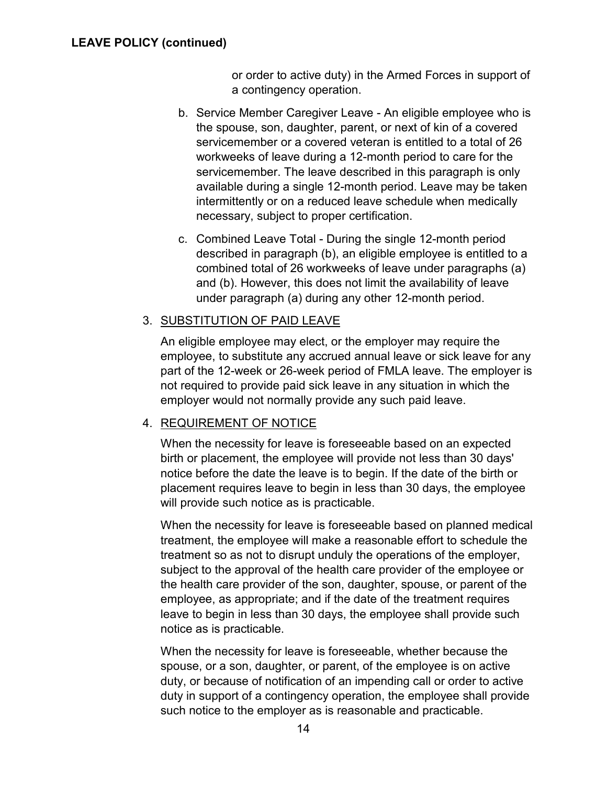or order to active duty) in the Armed Forces in support of a contingency operation.

- b. Service Member Caregiver Leave An eligible employee who is the spouse, son, daughter, parent, or next of kin of a covered servicemember or a covered veteran is entitled to a total of 26 workweeks of leave during a 12-month period to care for the servicemember. The leave described in this paragraph is only available during a single 12-month period. Leave may be taken intermittently or on a reduced leave schedule when medically necessary, subject to proper certification.
- c. Combined Leave Total During the single 12-month period described in paragraph (b), an eligible employee is entitled to a combined total of 26 workweeks of leave under paragraphs (a) and (b). However, this does not limit the availability of leave under paragraph (a) during any other 12-month period.

### <span id="page-13-0"></span>3. SUBSTITUTION OF PAID LEAVE

An eligible employee may elect, or the employer may require the employee, to substitute any accrued annual leave or sick leave for any part of the 12-week or 26-week period of FMLA leave. The employer is not required to provide paid sick leave in any situation in which the employer would not normally provide any such paid leave.

#### <span id="page-13-1"></span>4. REQUIREMENT OF NOTICE

When the necessity for leave is foreseeable based on an expected birth or placement, the employee will provide not less than 30 days' notice before the date the leave is to begin. If the date of the birth or placement requires leave to begin in less than 30 days, the employee will provide such notice as is practicable.

When the necessity for leave is foreseeable based on planned medical treatment, the employee will make a reasonable effort to schedule the treatment so as not to disrupt unduly the operations of the employer, subject to the approval of the health care provider of the employee or the health care provider of the son, daughter, spouse, or parent of the employee, as appropriate; and if the date of the treatment requires leave to begin in less than 30 days, the employee shall provide such notice as is practicable.

When the necessity for leave is foreseeable, whether because the spouse, or a son, daughter, or parent, of the employee is on active duty, or because of notification of an impending call or order to active duty in support of a contingency operation, the employee shall provide such notice to the employer as is reasonable and practicable.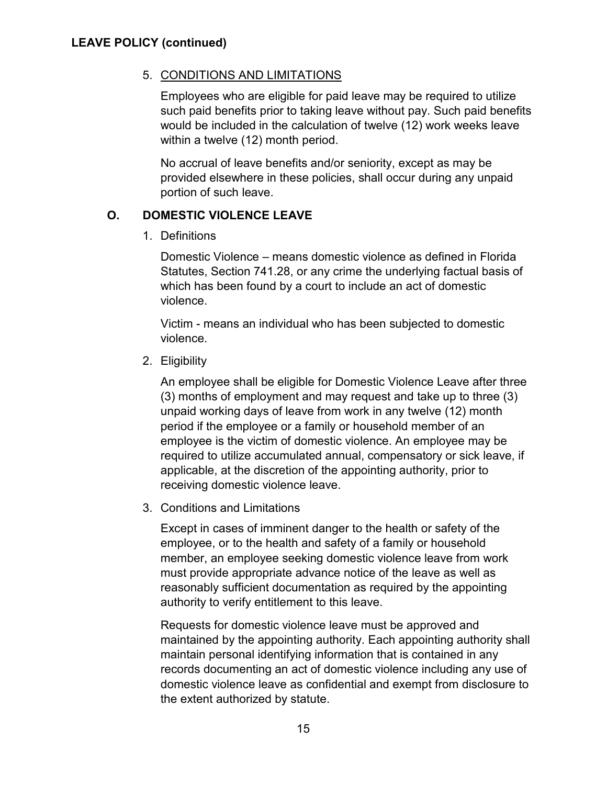## <span id="page-14-0"></span>5. CONDITIONS AND LIMITATIONS

Employees who are eligible for paid leave may be required to utilize such paid benefits prior to taking leave without pay. Such paid benefits would be included in the calculation of twelve (12) work weeks leave within a twelve (12) month period.

No accrual of leave benefits and/or seniority, except as may be provided elsewhere in these policies, shall occur during any unpaid portion of such leave.

# <span id="page-14-2"></span><span id="page-14-1"></span>**O. DOMESTIC VIOLENCE LEAVE**

1. Definitions

Domestic Violence – means domestic violence as defined in Florida Statutes, Section 741.28, or any crime the underlying factual basis of which has been found by a court to include an act of domestic violence.

Victim - means an individual who has been subjected to domestic violence.

<span id="page-14-3"></span>2. Eligibility

An employee shall be eligible for Domestic Violence Leave after three (3) months of employment and may request and take up to three (3) unpaid working days of leave from work in any twelve (12) month period if the employee or a family or household member of an employee is the victim of domestic violence. An employee may be required to utilize accumulated annual, compensatory or sick leave, if applicable, at the discretion of the appointing authority, prior to receiving domestic violence leave.

<span id="page-14-4"></span>3. Conditions and Limitations

Except in cases of imminent danger to the health or safety of the employee, or to the health and safety of a family or household member, an employee seeking domestic violence leave from work must provide appropriate advance notice of the leave as well as reasonably sufficient documentation as required by the appointing authority to verify entitlement to this leave.

Requests for domestic violence leave must be approved and maintained by the appointing authority. Each appointing authority shall maintain personal identifying information that is contained in any records documenting an act of domestic violence including any use of domestic violence leave as confidential and exempt from disclosure to the extent authorized by statute.